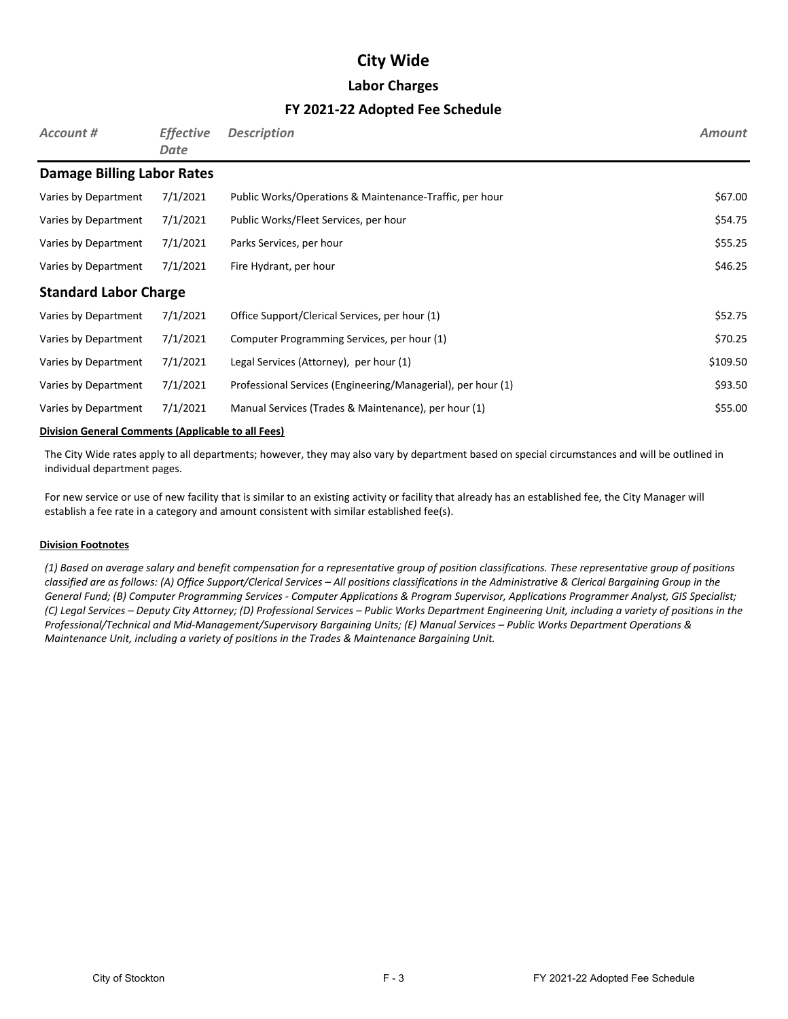### **Labor Charges**

### **FY 2021-22 Adopted Fee Schedule**

| Account #                         | <b>Effective</b><br>Date | <b>Description</b>                                           | <b>Amount</b> |  |  |
|-----------------------------------|--------------------------|--------------------------------------------------------------|---------------|--|--|
| <b>Damage Billing Labor Rates</b> |                          |                                                              |               |  |  |
| Varies by Department              | 7/1/2021                 | Public Works/Operations & Maintenance-Traffic, per hour      | \$67.00       |  |  |
| Varies by Department              | 7/1/2021                 | Public Works/Fleet Services, per hour                        | \$54.75       |  |  |
| Varies by Department              | 7/1/2021                 | Parks Services, per hour                                     | \$55.25       |  |  |
| Varies by Department              | 7/1/2021                 | Fire Hydrant, per hour                                       | \$46.25       |  |  |
| <b>Standard Labor Charge</b>      |                          |                                                              |               |  |  |
| Varies by Department              | 7/1/2021                 | Office Support/Clerical Services, per hour (1)               | \$52.75       |  |  |
| Varies by Department              | 7/1/2021                 | Computer Programming Services, per hour (1)                  | \$70.25       |  |  |
| Varies by Department              | 7/1/2021                 | Legal Services (Attorney), per hour (1)                      | \$109.50      |  |  |
| Varies by Department              | 7/1/2021                 | Professional Services (Engineering/Managerial), per hour (1) | \$93.50       |  |  |
| Varies by Department              | 7/1/2021                 | Manual Services (Trades & Maintenance), per hour (1)         | \$55.00       |  |  |

#### **Division General Comments (Applicable to all Fees)**

The City Wide rates apply to all departments; however, they may also vary by department based on special circumstances and will be outlined in individual department pages.

For new service or use of new facility that is similar to an existing activity or facility that already has an established fee, the City Manager will establish a fee rate in a category and amount consistent with similar established fee(s).

#### **Division Footnotes**

*(1) Based on average salary and benefit compensation for a representative group of position classifications. These representative group of positions classified are as follows: (A) Office Support/Clerical Services – All positions classifications in the Administrative & Clerical Bargaining Group in the General Fund; (B) Computer Programming Services - Computer Applications & Program Supervisor, Applications Programmer Analyst, GIS Specialist; (C) Legal Services – Deputy City Attorney; (D) Professional Services – Public Works Department Engineering Unit, including a variety of positions in the Professional/Technical and Mid-Management/Supervisory Bargaining Units; (E) Manual Services – Public Works Department Operations & Maintenance Unit, including a variety of positions in the Trades & Maintenance Bargaining Unit.*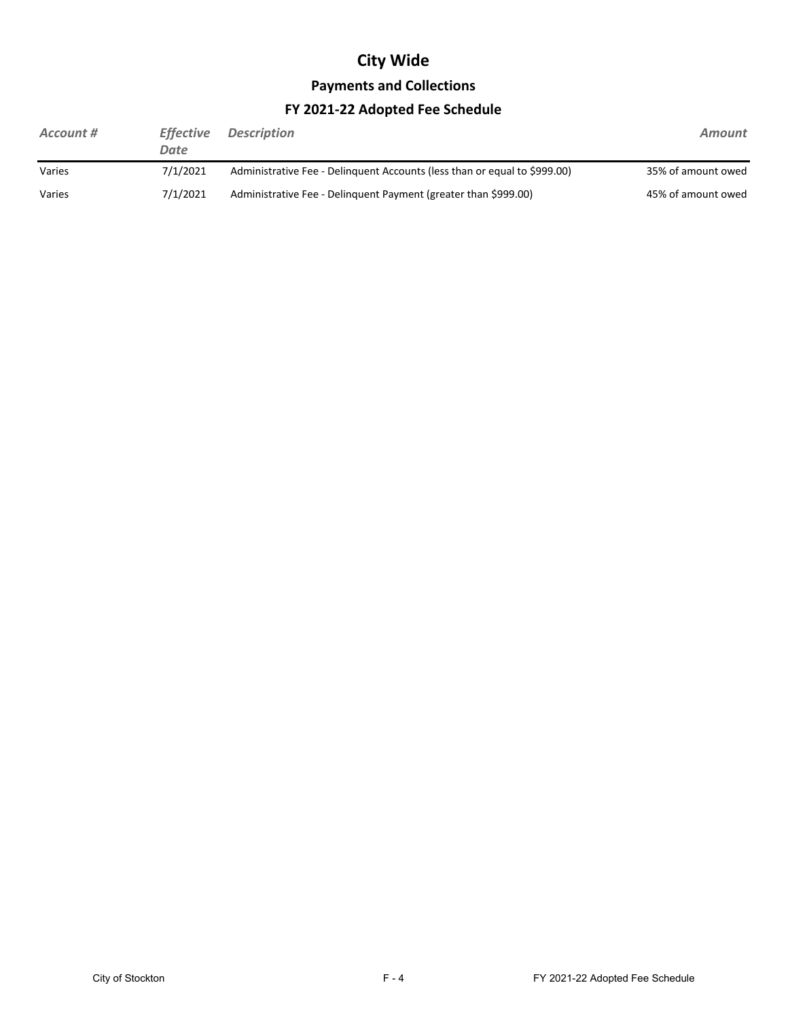# **Payments and Collections**

## **FY 2021-22 Adopted Fee Schedule**

| Account # | <b>Effective</b><br>Date | <b>Description</b>                                                        | Amount             |
|-----------|--------------------------|---------------------------------------------------------------------------|--------------------|
| Varies    | 7/1/2021                 | Administrative Fee - Delinguent Accounts (less than or equal to \$999.00) | 35% of amount owed |
| Varies    | 7/1/2021                 | Administrative Fee - Delinguent Payment (greater than \$999.00)           | 45% of amount owed |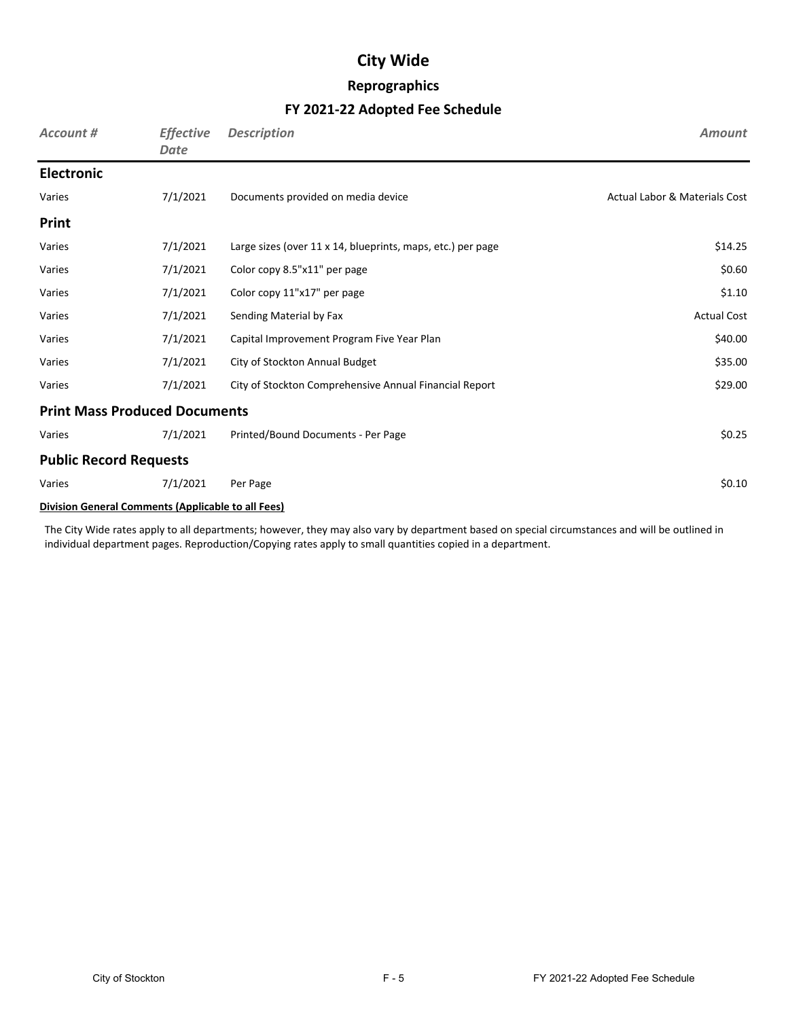## **Reprographics**

## **FY 2021-22 Adopted Fee Schedule**

| Account #                                                 | <b>Effective</b><br><b>Date</b> | <b>Description</b>                                          | <b>Amount</b>                            |  |  |
|-----------------------------------------------------------|---------------------------------|-------------------------------------------------------------|------------------------------------------|--|--|
| <b>Electronic</b>                                         |                                 |                                                             |                                          |  |  |
| Varies                                                    | 7/1/2021                        | Documents provided on media device                          | <b>Actual Labor &amp; Materials Cost</b> |  |  |
| Print                                                     |                                 |                                                             |                                          |  |  |
| Varies                                                    | 7/1/2021                        | Large sizes (over 11 x 14, blueprints, maps, etc.) per page | \$14.25                                  |  |  |
| Varies                                                    | 7/1/2021                        | Color copy 8.5"x11" per page                                | \$0.60                                   |  |  |
| Varies                                                    | 7/1/2021                        | Color copy 11"x17" per page                                 | \$1.10                                   |  |  |
| Varies                                                    | 7/1/2021                        | Sending Material by Fax                                     | <b>Actual Cost</b>                       |  |  |
| Varies                                                    | 7/1/2021                        | Capital Improvement Program Five Year Plan                  | \$40.00                                  |  |  |
| Varies                                                    | 7/1/2021                        | City of Stockton Annual Budget                              | \$35.00                                  |  |  |
| Varies                                                    | 7/1/2021                        | City of Stockton Comprehensive Annual Financial Report      | \$29.00                                  |  |  |
| <b>Print Mass Produced Documents</b>                      |                                 |                                                             |                                          |  |  |
| Varies                                                    | 7/1/2021                        | Printed/Bound Documents - Per Page                          | \$0.25                                   |  |  |
| <b>Public Record Requests</b>                             |                                 |                                                             |                                          |  |  |
| Varies                                                    | 7/1/2021                        | Per Page                                                    | \$0.10                                   |  |  |
| <b>Division General Comments (Applicable to all Fees)</b> |                                 |                                                             |                                          |  |  |

The City Wide rates apply to all departments; however, they may also vary by department based on special circumstances and will be outlined in individual department pages. Reproduction/Copying rates apply to small quantities copied in a department.